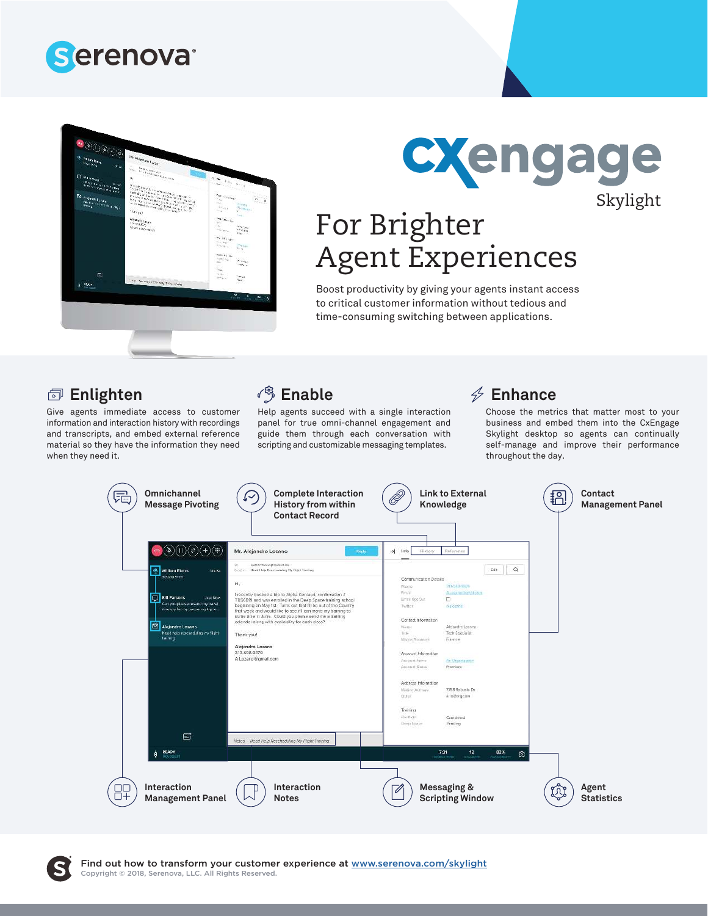



# CXengage Skylight

# For Brighter Agent Experiences

Boost productivity by giving your agents instant access to critical customer information without tedious and time-consuming switching between applications.

#### **Enlighten**

Give agents immediate access to customer information and interaction history with recordings and transcripts, and embed external reference material so they have the information they need when they need it.

### <sup>3</sup> Enable

Help agents succeed with a single interaction panel for true omni-channel engagement and guide them through each conversation with scripting and customizable messaging templates.

### **Enhance**

Choose the metrics that matter most to your business and embed them into the CxEngage Skylight desktop so agents can continually self-manage and improve their performance throughout the day.



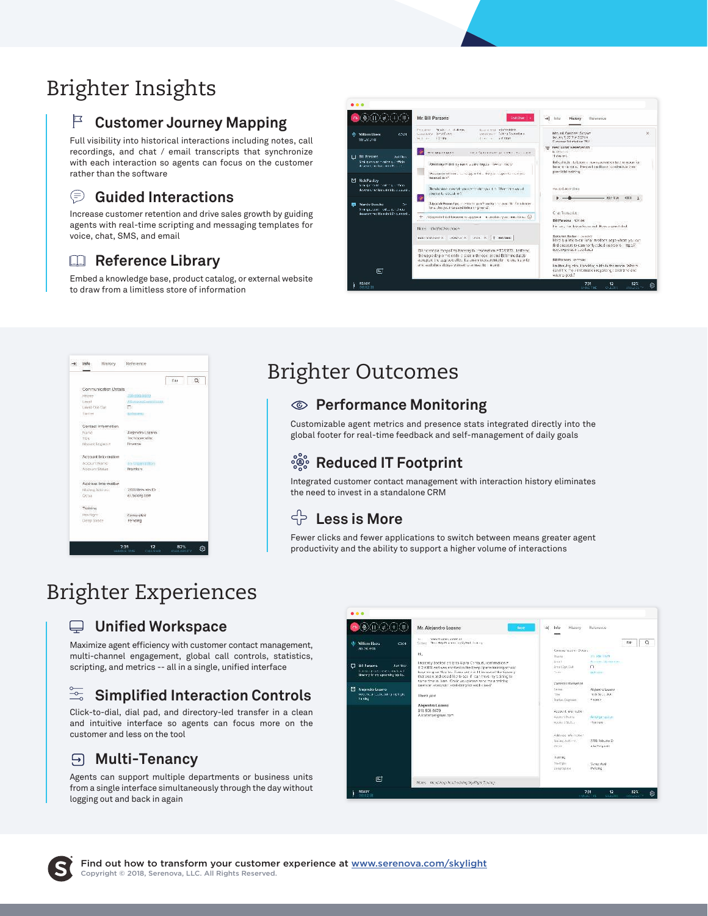# Brighter Insights

### **Customer Journey Mapping**

Full visibility into historical interactions including notes, call recordings, and chat / email transcripts that synchronize with each interaction so agents can focus on the customer rather than the software

#### ⊜ **Guided Interactions**

Increase customer retention and drive sales growth by guiding agents with real-time scripting and messaging templates for voice, chat, SMS, and email

#### **Reference Library**

Embed a knowledge base, product catalog, or external website to draw from a limitless store of information



# Brighter Outcomes

#### **Performance Monitoring**

Customizable agent metrics and presence stats integrated directly into the global footer for real-time feedback and self-management of daily goals

#### ပို့စွဲဝိ **Reduced IT Footprint**

Integrated customer contact management with interaction history eliminates the need to invest in a standalone CRM

### **Less is More**

Fewer clicks and fewer applications to switch between means greater agent productivity and the ability to support a higher volume of interactions

## Brighter Experiences

#### **Unified Workspace**

Maximize agent efficiency with customer contact management, multi-channel engagement, global call controls, statistics, scripting, and metrics -- all in a single, unified interface

#### $\frac{1}{\sqrt{2}}$ **Simplified Interaction Controls**

Click-to-dial, dial pad, and directory-led transfer in a clean and intuitive interface so agents can focus more on the customer and less on the tool

#### **Multi-Tenancy**

Agents can support multiple departments or business units from a single interface simultaneously through the day without logging out and back in again